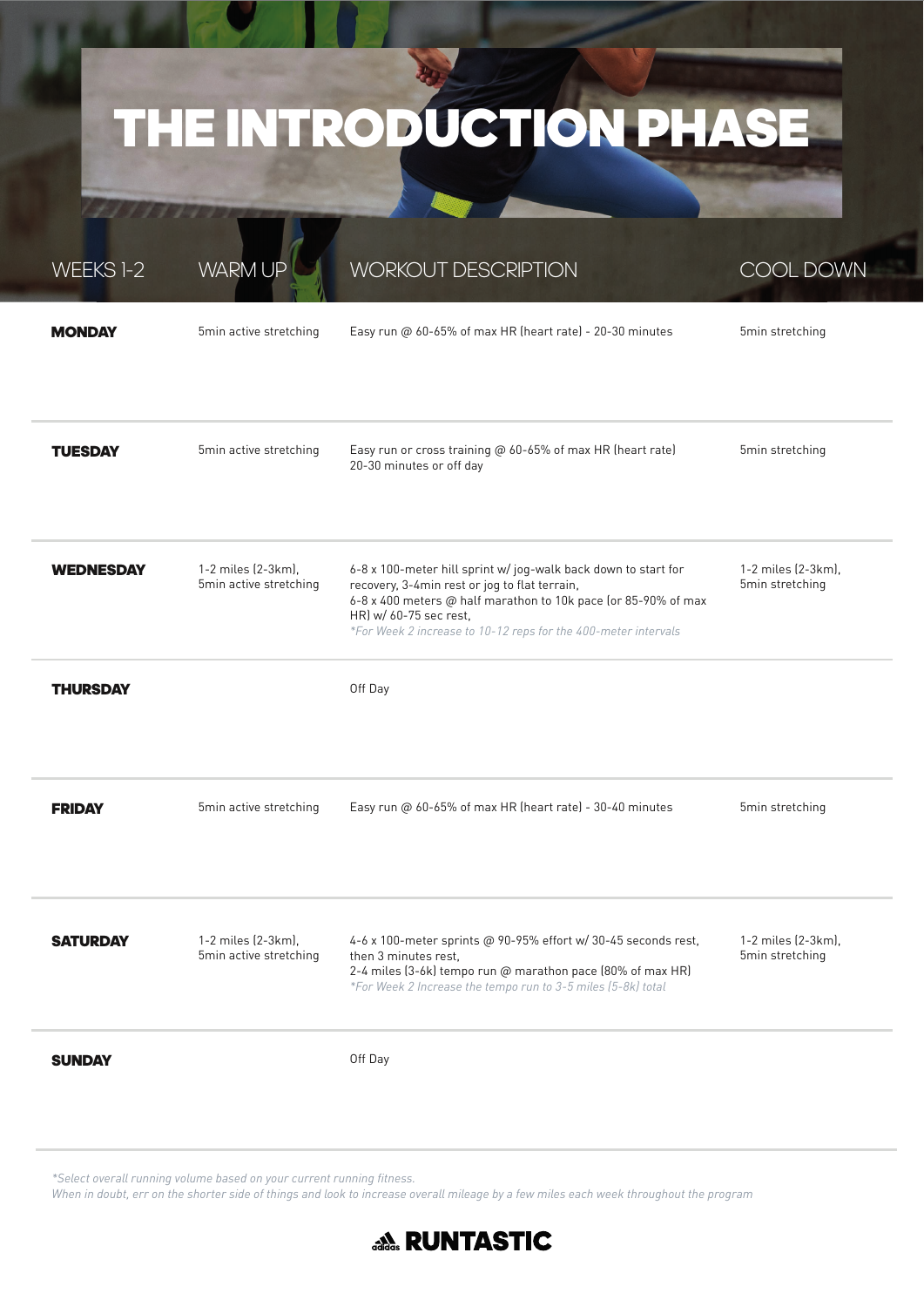### THE INTRODUCTION PHASE

| WEEKS 1-2        | <b>WARM UP</b>                               | <b>WORKOUT DESCRIPTION</b>                                                                                                                                                                                                                                                    | <b>COOL DOWN</b>                      |
|------------------|----------------------------------------------|-------------------------------------------------------------------------------------------------------------------------------------------------------------------------------------------------------------------------------------------------------------------------------|---------------------------------------|
| <b>MONDAY</b>    | 5min active stretching                       | Easy run @ 60-65% of max HR (heart rate) - 20-30 minutes                                                                                                                                                                                                                      | 5min stretching                       |
| <b>TUESDAY</b>   | 5min active stretching                       | Easy run or cross training @ 60-65% of max HR (heart rate)<br>20-30 minutes or off day                                                                                                                                                                                        | 5min stretching                       |
| <b>WEDNESDAY</b> | 1-2 miles (2-3km),<br>5min active stretching | 6-8 x 100-meter hill sprint w/ jog-walk back down to start for<br>recovery, 3-4min rest or jog to flat terrain,<br>6-8 x 400 meters @ half marathon to 10k pace (or 85-90% of max<br>HR) w/ 60-75 sec rest,<br>*For Week 2 increase to 10-12 reps for the 400-meter intervals | 1-2 miles (2-3km),<br>5min stretching |
| <b>THURSDAY</b>  |                                              | Off Day                                                                                                                                                                                                                                                                       |                                       |
| <b>FRIDAY</b>    | 5min active stretching                       | Easy run @ 60-65% of max HR (heart rate) - 30-40 minutes                                                                                                                                                                                                                      | 5min stretching                       |
| <b>SATURDAY</b>  | 1-2 miles (2-3km),<br>5min active stretching | 4-6 x 100-meter sprints @ 90-95% effort w/ 30-45 seconds rest,<br>then 3 minutes rest,<br>2-4 miles (3-6k) tempo run @ marathon pace (80% of max HR)<br>*For Week 2 Increase the tempo run to 3-5 miles (5-8k) total                                                          | 1-2 miles (2-3km),<br>5min stretching |
| <b>SUNDAY</b>    |                                              | Off Day                                                                                                                                                                                                                                                                       |                                       |

*\*Select overall running volume based on your current running fi tness.* 

*When in doubt, err on the shorter side of things and look to increase overall mileage by a few miles each week throughout the program*

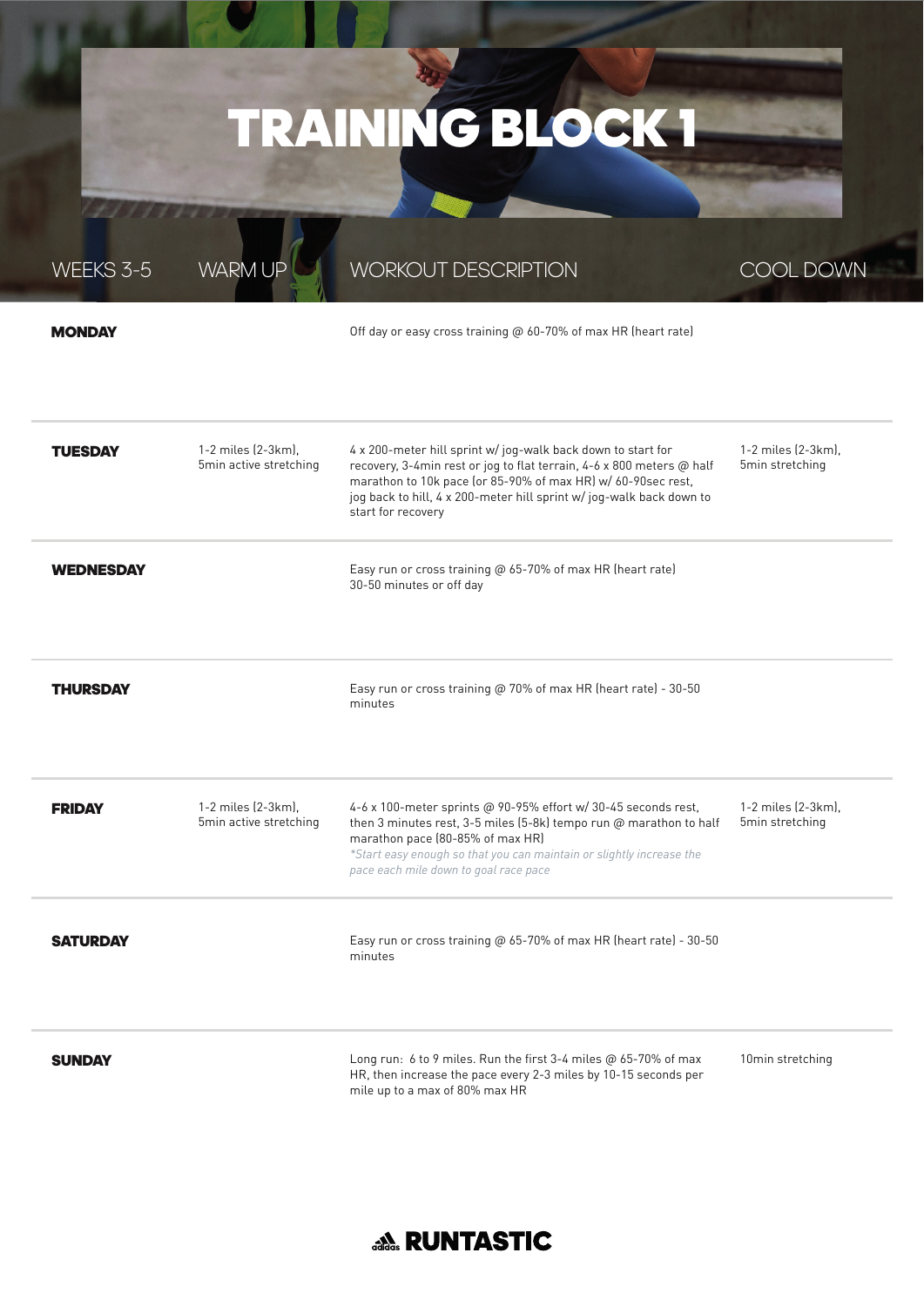### TRAINING BLOCK 1

WORKOUT DESCRIPTION

| <b>MONDAY</b>    |                                              | Off day or easy cross training @ 60-70% of max HR (heart rate)                                                                                                                                                                                                                                     |                                       |
|------------------|----------------------------------------------|----------------------------------------------------------------------------------------------------------------------------------------------------------------------------------------------------------------------------------------------------------------------------------------------------|---------------------------------------|
| <b>TUESDAY</b>   | 1-2 miles (2-3km).<br>5min active stretching | 4 x 200-meter hill sprint w/ jog-walk back down to start for<br>recovery, 3-4min rest or jog to flat terrain, 4-6 x 800 meters @ half<br>marathon to 10k pace (or 85-90% of max HR) w/ 60-90sec rest,<br>jog back to hill, 4 x 200-meter hill sprint w/jog-walk back down to<br>start for recovery | 1-2 miles (2-3km).<br>5min stretching |
| <b>WEDNESDAY</b> |                                              | Easy run or cross training @ 65-70% of max HR (heart rate)<br>30-50 minutes or off day                                                                                                                                                                                                             |                                       |
| <b>THURSDAY</b>  |                                              | Easy run or cross training @ 70% of max HR (heart rate) - 30-50<br>minutes                                                                                                                                                                                                                         |                                       |
| <b>FRIDAY</b>    | 1-2 miles (2-3km).<br>5min active stretching | 4-6 x 100-meter sprints @ 90-95% effort w/ 30-45 seconds rest,<br>then 3 minutes rest, 3-5 miles (5-8k) tempo run @ marathon to half<br>marathon pace (80-85% of max HR)                                                                                                                           | 1-2 miles (2-3km).<br>5min stretching |

*pace each mile down to goal race pace*

minutes

**SUNDAY** 

**SATURDAY** 

WEEKS 3-5

WARM UP

Long run: 6 to 9 miles. Run the first 3-4 miles  $@$  65-70% of max HR, then increase the pace every 2-3 miles by 10-15 seconds per mile up to a max of 80% max HR

*\*Start easy enough so that you can maintain or slightly increase the* 

Easy run or cross training @ 65-70% of max HR (heart rate) - 30-50

10min stretching

COOL DOWN

#### **AA RUNTASTIC**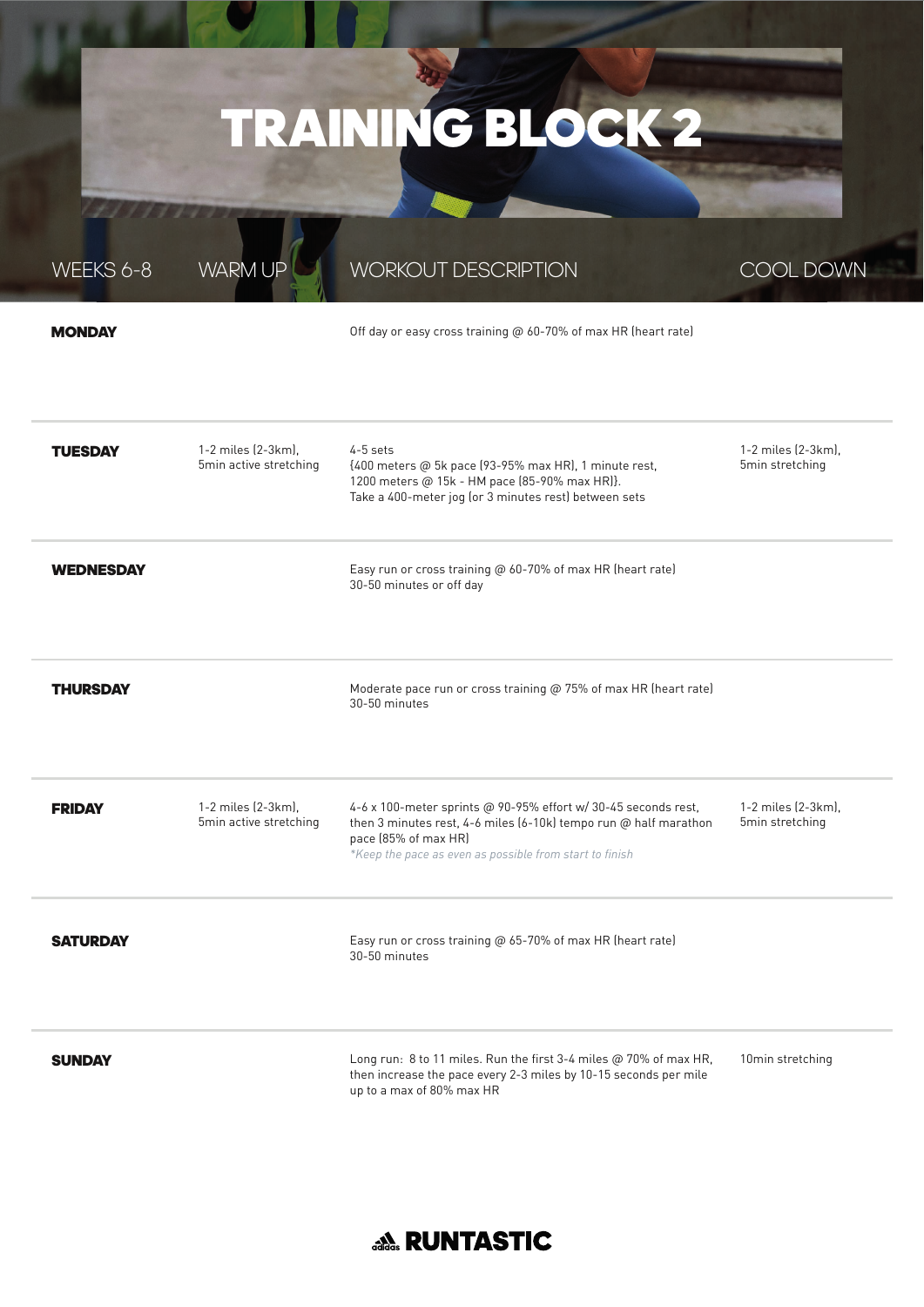### TRAINING BLOCK 2

WEEKS 6-8

WARM UP

#### WORKOUT DESCRIPTION

COOL DOWN

#### **MONDAY**

Off day or easy cross training @ 60-70% of max HR (heart rate)

| <b>TUESDAY</b>   | 1-2 miles (2-3km).<br>5min active stretching | 4-5 sets<br>{400 meters @ 5k pace (93-95% max HR), 1 minute rest,<br>1200 meters @ 15k - HM pace (85-90% max HR)}.<br>Take a 400-meter jog (or 3 minutes rest) between sets                                           | 1-2 miles (2-3km).<br>5min stretching |
|------------------|----------------------------------------------|-----------------------------------------------------------------------------------------------------------------------------------------------------------------------------------------------------------------------|---------------------------------------|
| <b>WEDNESDAY</b> |                                              | Easy run or cross training @ 60-70% of max HR (heart rate)<br>30-50 minutes or off day                                                                                                                                |                                       |
| <b>THURSDAY</b>  |                                              | Moderate pace run or cross training @ 75% of max HR (heart rate)<br>30-50 minutes                                                                                                                                     |                                       |
| <b>FRIDAY</b>    | 1-2 miles (2-3km),<br>5min active stretching | 4-6 x 100-meter sprints @ 90-95% effort w/ 30-45 seconds rest,<br>then 3 minutes rest, 4-6 miles (6-10k) tempo run @ half marathon<br>pace (85% of max HR)<br>*Keep the pace as even as possible from start to finish | 1-2 miles (2-3km),<br>5min stretching |
| <b>SATURDAY</b>  |                                              | Easy run or cross training @ 65-70% of max HR (heart rate)<br>30-50 minutes                                                                                                                                           |                                       |
| <b>SUNDAY</b>    |                                              | Long run: 8 to 11 miles. Run the first 3-4 miles @ 70% of max HR,<br>then increase the pace every 2-3 miles by 10-15 seconds per mile<br>up to a max of 80% max HR                                                    | 10min stretching                      |

#### **AA RUNTASTIC**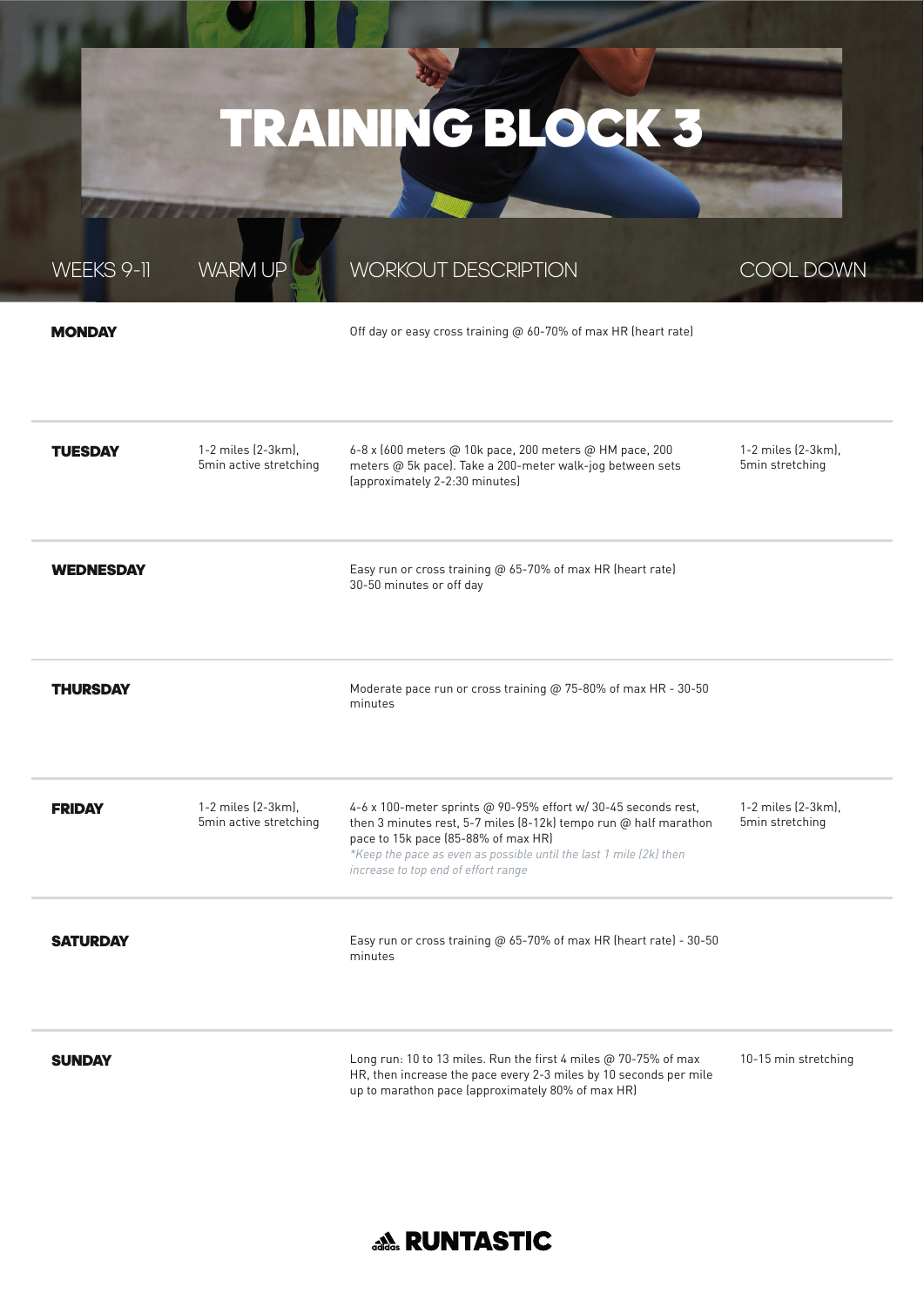## TRAINING BLOCK 3

WORKOLIT DESCRIPTION

COOL DOWN

WFFKS 9-1

 $\Lambda/\Delta$ 

| <b>MONDAY</b>    |                                              | Off day or easy cross training @ 60-70% of max HR (heart rate)                                                                                                                                                                                                                           |                                       |
|------------------|----------------------------------------------|------------------------------------------------------------------------------------------------------------------------------------------------------------------------------------------------------------------------------------------------------------------------------------------|---------------------------------------|
| <b>TUESDAY</b>   | 1-2 miles (2-3km),<br>5min active stretching | 6-8 x (600 meters @ 10k pace, 200 meters @ HM pace, 200<br>meters @ 5k pace). Take a 200-meter walk-jog between sets<br>(approximately 2-2:30 minutes)                                                                                                                                   | 1-2 miles (2-3km),<br>5min stretching |
| <b>WEDNESDAY</b> |                                              | Easy run or cross training @ 65-70% of max HR (heart rate)<br>30-50 minutes or off day                                                                                                                                                                                                   |                                       |
| <b>THURSDAY</b>  |                                              | Moderate pace run or cross training @ 75-80% of max HR - 30-50<br>minutes                                                                                                                                                                                                                |                                       |
| <b>FRIDAY</b>    | 1-2 miles (2-3km).<br>5min active stretching | 4-6 x 100-meter sprints @ 90-95% effort w/ 30-45 seconds rest,<br>then 3 minutes rest, 5-7 miles (8-12k) tempo run $@$ half marathon<br>pace to 15k pace (85-88% of max HR)<br>*Keep the pace as even as possible until the last 1 mile (2k) then<br>increase to top end of effort range | 1-2 miles (2-3km),<br>5min stretching |
| <b>SATURDAY</b>  |                                              | Easy run or cross training @ 65-70% of max HR (heart rate) - 30-50<br>minutes                                                                                                                                                                                                            |                                       |
| <b>SUNDAY</b>    |                                              | Long run: 10 to 13 miles. Run the first 4 miles @ 70-75% of max<br>HR, then increase the pace every 2-3 miles by 10 seconds per mile<br>up to marathon pace (approximately 80% of max HR)                                                                                                | 10-15 min stretching                  |

#### **ANG RUNTASTIC**